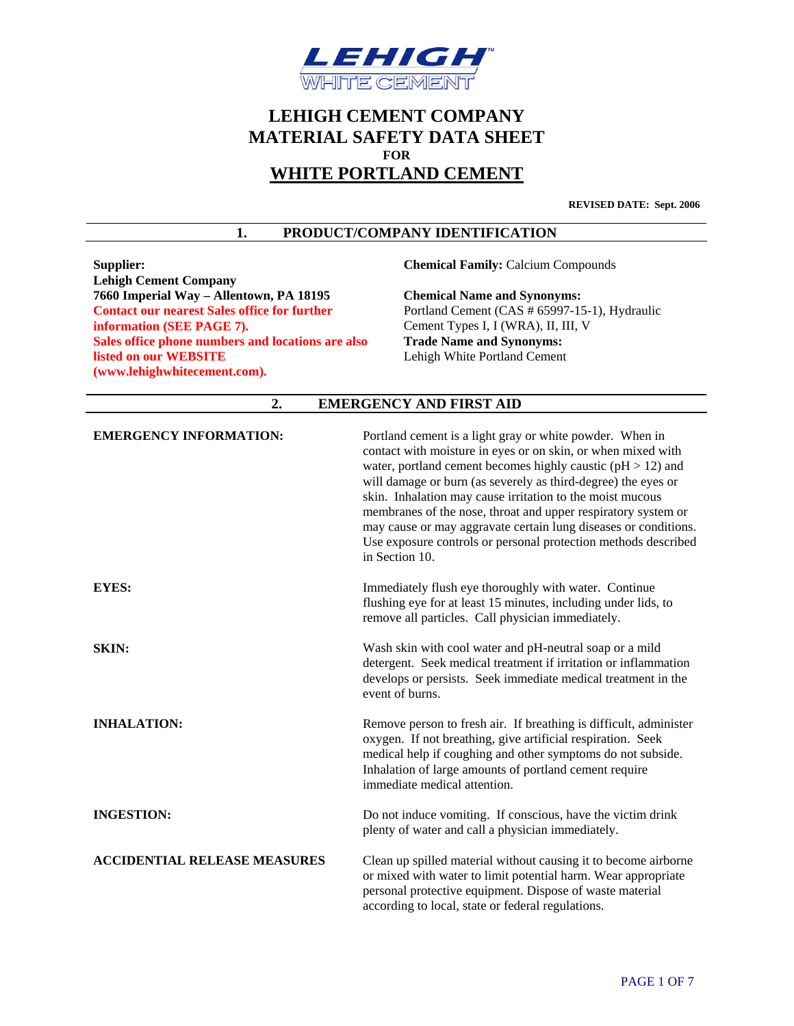

# **LEHIGH CEMENT COMPANY MATERIAL SAFETY DATA SHEET FOR WHITE PORTLAND CEMENT**

**REVISED DATE: Sept. 2006**

#### **1. PRODUCT/COMPANY IDENTIFICATION**

**Supplier: Chemical Family:** Calcium Compounds **Lehigh Cement Company 7660 Imperial Way – Allentown, PA 18195 Chemical Name and Synonyms: Contact our nearest Sales office for further information (SEE PAGE 7). Sales office phone numbers and locations are also listed on our WEBSITE (www.lehighwhitecement.com).** 

Portland Cement (CAS # 65997-15-1), Hydraulic Cement Types I, I (WRA), II, III, V **Trade Name and Synonyms:**  Lehigh White Portland Cement

# **2. EMERGENCY AND FIRST AID**

| <b>EMERGENCY INFORMATION:</b>       | Portland cement is a light gray or white powder. When in<br>contact with moisture in eyes or on skin, or when mixed with<br>water, portland cement becomes highly caustic ( $pH > 12$ ) and<br>will damage or burn (as severely as third-degree) the eyes or<br>skin. Inhalation may cause irritation to the moist mucous<br>membranes of the nose, throat and upper respiratory system or<br>may cause or may aggravate certain lung diseases or conditions.<br>Use exposure controls or personal protection methods described<br>in Section 10. |
|-------------------------------------|---------------------------------------------------------------------------------------------------------------------------------------------------------------------------------------------------------------------------------------------------------------------------------------------------------------------------------------------------------------------------------------------------------------------------------------------------------------------------------------------------------------------------------------------------|
| <b>EYES:</b>                        | Immediately flush eye thoroughly with water. Continue<br>flushing eye for at least 15 minutes, including under lids, to<br>remove all particles. Call physician immediately.                                                                                                                                                                                                                                                                                                                                                                      |
| <b>SKIN:</b>                        | Wash skin with cool water and pH-neutral soap or a mild<br>detergent. Seek medical treatment if irritation or inflammation<br>develops or persists. Seek immediate medical treatment in the<br>event of burns.                                                                                                                                                                                                                                                                                                                                    |
| <b>INHALATION:</b>                  | Remove person to fresh air. If breathing is difficult, administer<br>oxygen. If not breathing, give artificial respiration. Seek<br>medical help if coughing and other symptoms do not subside.<br>Inhalation of large amounts of portland cement require<br>immediate medical attention.                                                                                                                                                                                                                                                         |
| <b>INGESTION:</b>                   | Do not induce vomiting. If conscious, have the victim drink<br>plenty of water and call a physician immediately.                                                                                                                                                                                                                                                                                                                                                                                                                                  |
| <b>ACCIDENTIAL RELEASE MEASURES</b> | Clean up spilled material without causing it to become airborne<br>or mixed with water to limit potential harm. Wear appropriate<br>personal protective equipment. Dispose of waste material<br>according to local, state or federal regulations.                                                                                                                                                                                                                                                                                                 |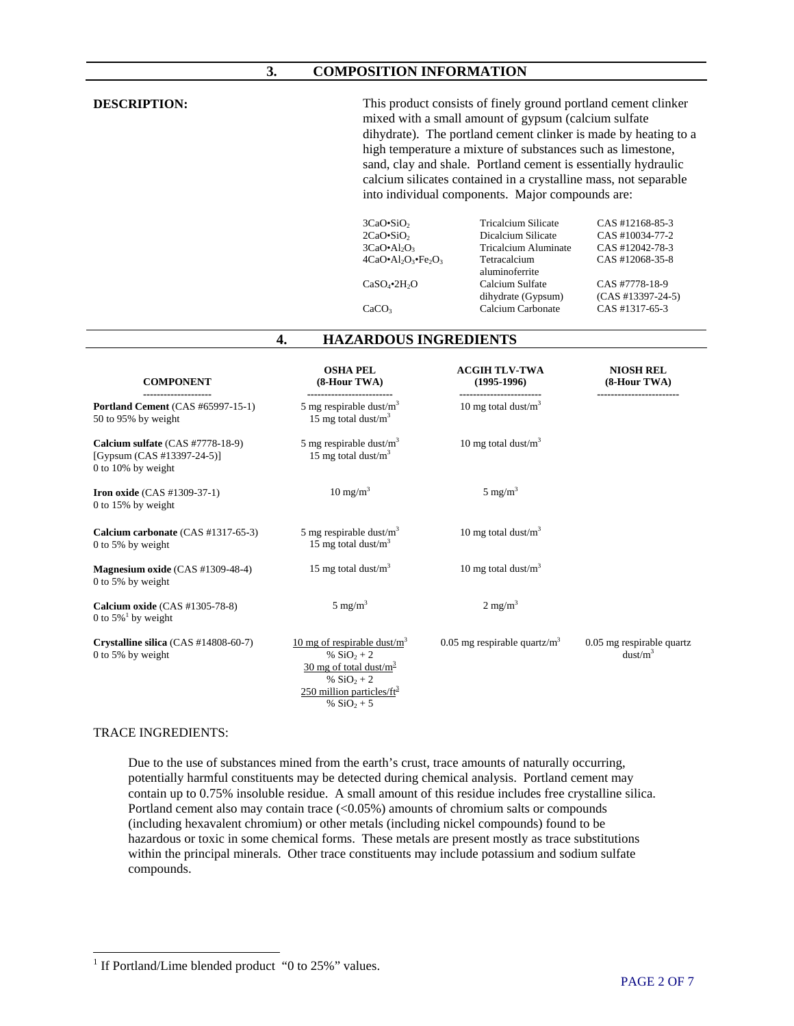#### **3. COMPOSITION INFORMATION**

| <b>DESCRIPTION:</b>                                                                  | This product consists of finely ground portland cement clinker<br>mixed with a small amount of gypsum (calcium sulfate<br>dihydrate). The portland cement clinker is made by heating to a<br>high temperature a mixture of substances such as limestone,<br>sand, clay and shale. Portland cement is essentially hydraulic<br>calcium silicates contained in a crystalline mass, not separable<br>into individual components. Major compounds are: |                                                                                                                                                                                 |                                                                                                                                     |
|--------------------------------------------------------------------------------------|----------------------------------------------------------------------------------------------------------------------------------------------------------------------------------------------------------------------------------------------------------------------------------------------------------------------------------------------------------------------------------------------------------------------------------------------------|---------------------------------------------------------------------------------------------------------------------------------------------------------------------------------|-------------------------------------------------------------------------------------------------------------------------------------|
|                                                                                      | $3CaO-SiO2$<br>$2CaO \cdot SiO_2$<br>$3CaO•Al2O3$<br>$4CaO•Al2O3•Fe2O3$<br>$CaSO_4$ •2H <sub>2</sub> O<br>CaCO <sub>3</sub>                                                                                                                                                                                                                                                                                                                        | <b>Tricalcium Silicate</b><br>Dicalcium Silicate<br><b>Tricalcium Aluminate</b><br>Tetracalcium<br>aluminoferrite<br>Calcium Sulfate<br>dihydrate (Gypsum)<br>Calcium Carbonate | CAS #12168-85-3<br>CAS #10034-77-2<br>CAS #12042-78-3<br>CAS #12068-35-8<br>CAS #7778-18-9<br>$(CAS #13397-24-5)$<br>CAS #1317-65-3 |
|                                                                                      | <b>HAZARDOUS INGREDIENTS</b><br>4.                                                                                                                                                                                                                                                                                                                                                                                                                 |                                                                                                                                                                                 |                                                                                                                                     |
| <b>COMPONENT</b>                                                                     | <b>OSHA PEL</b><br>(8-Hour TWA)<br>-----------------------                                                                                                                                                                                                                                                                                                                                                                                         | <b>ACGIH TLV-TWA</b><br>$(1995-1996)$<br>-------------------------                                                                                                              | <b>NIOSH REL</b><br>$(8-Hour TWA)$                                                                                                  |
| <b>Portland Cement</b> (CAS #65997-15-1)<br>50 to 95% by weight                      | 5 mg respirable dust/ $m3$<br>15 mg total dust/ $m3$                                                                                                                                                                                                                                                                                                                                                                                               | 10 mg total dust/ $m^3$                                                                                                                                                         |                                                                                                                                     |
| Calcium sulfate (CAS #7778-18-9)<br>[Gypsum (CAS #13397-24-5)]<br>0 to 10% by weight | 5 mg respirable dust/ $m3$<br>15 mg total dust/ $m3$                                                                                                                                                                                                                                                                                                                                                                                               | 10 mg total dust/ $m3$                                                                                                                                                          |                                                                                                                                     |
| Iron oxide (CAS #1309-37-1)<br>0 to 15% by weight                                    | $10 \text{ mg/m}^3$                                                                                                                                                                                                                                                                                                                                                                                                                                | $5 \text{ mg/m}^3$                                                                                                                                                              |                                                                                                                                     |
| Calcium carbonate (CAS #1317-65-3)<br>0 to 5% by weight                              | 5 mg respirable dust/ $m3$<br>15 mg total dust/ $m3$                                                                                                                                                                                                                                                                                                                                                                                               | 10 mg total dust/ $m3$                                                                                                                                                          |                                                                                                                                     |
| Magnesium oxide $(CAS #1309-48-4)$<br>0 to 5% by weight                              | 15 mg total dust/ $m3$                                                                                                                                                                                                                                                                                                                                                                                                                             | 10 mg total dust/ $m3$                                                                                                                                                          |                                                                                                                                     |
| Calcium oxide (CAS #1305-78-8)<br>0 to $5\%$ <sup>1</sup> by weight                  | $5 \text{ mg/m}^3$                                                                                                                                                                                                                                                                                                                                                                                                                                 | $2 \text{ mg/m}^3$                                                                                                                                                              |                                                                                                                                     |
| Crystalline silica (CAS #14808-60-7)<br>0 to 5% by weight                            | 10 mg of respirable dust/ $m3$<br>% $SiO_2 + 2$<br>$\frac{30 \text{ mg of total dust/m}^3}{20 \text{ mg of total}}$<br>% $SiO_2 + 2$<br>250 million particles/ $ft^3$<br>% $SiO_2 + 5$                                                                                                                                                                                                                                                             | 0.05 mg respirable quartz/ $m3$                                                                                                                                                 | 0.05 mg respirable quartz<br>dust/m <sup>3</sup>                                                                                    |

#### TRACE INGREDIENTS:

Due to the use of substances mined from the earth's crust, trace amounts of naturally occurring, potentially harmful constituents may be detected during chemical analysis. Portland cement may contain up to 0.75% insoluble residue. A small amount of this residue includes free crystalline silica. Portland cement also may contain trace (<0.05%) amounts of chromium salts or compounds (including hexavalent chromium) or other metals (including nickel compounds) found to be hazardous or toxic in some chemical forms. These metals are present mostly as trace substitutions within the principal minerals. Other trace constituents may include potassium and sodium sulfate compounds.

<span id="page-1-0"></span><sup>&</sup>lt;sup>1</sup> If Portland/Lime blended product "0 to 25%" values.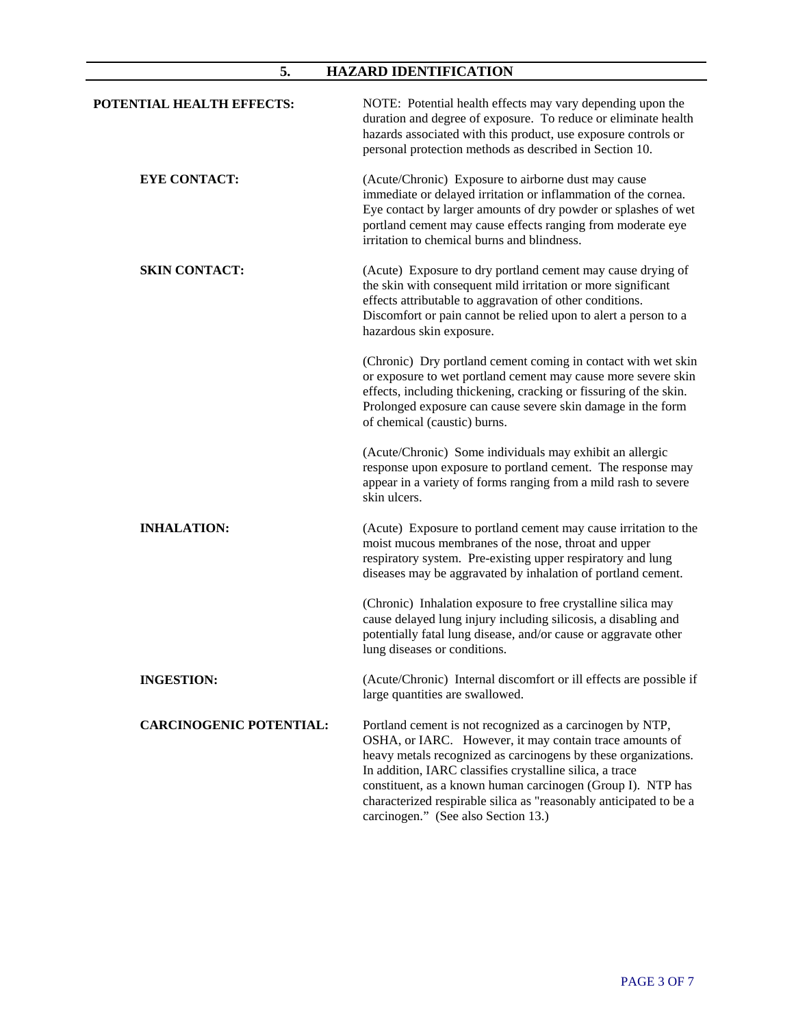# **5. HAZARD IDENTIFICATION**

| POTENTIAL HEALTH EFFECTS:      | NOTE: Potential health effects may vary depending upon the<br>duration and degree of exposure. To reduce or eliminate health<br>hazards associated with this product, use exposure controls or<br>personal protection methods as described in Section 10.                                                                                                                                                                      |
|--------------------------------|--------------------------------------------------------------------------------------------------------------------------------------------------------------------------------------------------------------------------------------------------------------------------------------------------------------------------------------------------------------------------------------------------------------------------------|
| <b>EYE CONTACT:</b>            | (Acute/Chronic) Exposure to airborne dust may cause<br>immediate or delayed irritation or inflammation of the cornea.<br>Eye contact by larger amounts of dry powder or splashes of wet<br>portland cement may cause effects ranging from moderate eye<br>irritation to chemical burns and blindness.                                                                                                                          |
| <b>SKIN CONTACT:</b>           | (Acute) Exposure to dry portland cement may cause drying of<br>the skin with consequent mild irritation or more significant<br>effects attributable to aggravation of other conditions.<br>Discomfort or pain cannot be relied upon to alert a person to a<br>hazardous skin exposure.                                                                                                                                         |
|                                | (Chronic) Dry portland cement coming in contact with wet skin<br>or exposure to wet portland cement may cause more severe skin<br>effects, including thickening, cracking or fissuring of the skin.<br>Prolonged exposure can cause severe skin damage in the form<br>of chemical (caustic) burns.                                                                                                                             |
|                                | (Acute/Chronic) Some individuals may exhibit an allergic<br>response upon exposure to portland cement. The response may<br>appear in a variety of forms ranging from a mild rash to severe<br>skin ulcers.                                                                                                                                                                                                                     |
| <b>INHALATION:</b>             | (Acute) Exposure to portland cement may cause irritation to the<br>moist mucous membranes of the nose, throat and upper<br>respiratory system. Pre-existing upper respiratory and lung<br>diseases may be aggravated by inhalation of portland cement.                                                                                                                                                                         |
|                                | (Chronic) Inhalation exposure to free crystalline silica may<br>cause delayed lung injury including silicosis, a disabling and<br>potentially fatal lung disease, and/or cause or aggravate other<br>lung diseases or conditions.                                                                                                                                                                                              |
| <b>INGESTION:</b>              | (Acute/Chronic) Internal discomfort or ill effects are possible if<br>large quantities are swallowed.                                                                                                                                                                                                                                                                                                                          |
| <b>CARCINOGENIC POTENTIAL:</b> | Portland cement is not recognized as a carcinogen by NTP,<br>OSHA, or IARC. However, it may contain trace amounts of<br>heavy metals recognized as carcinogens by these organizations.<br>In addition, IARC classifies crystalline silica, a trace<br>constituent, as a known human carcinogen (Group I). NTP has<br>characterized respirable silica as "reasonably anticipated to be a<br>carcinogen." (See also Section 13.) |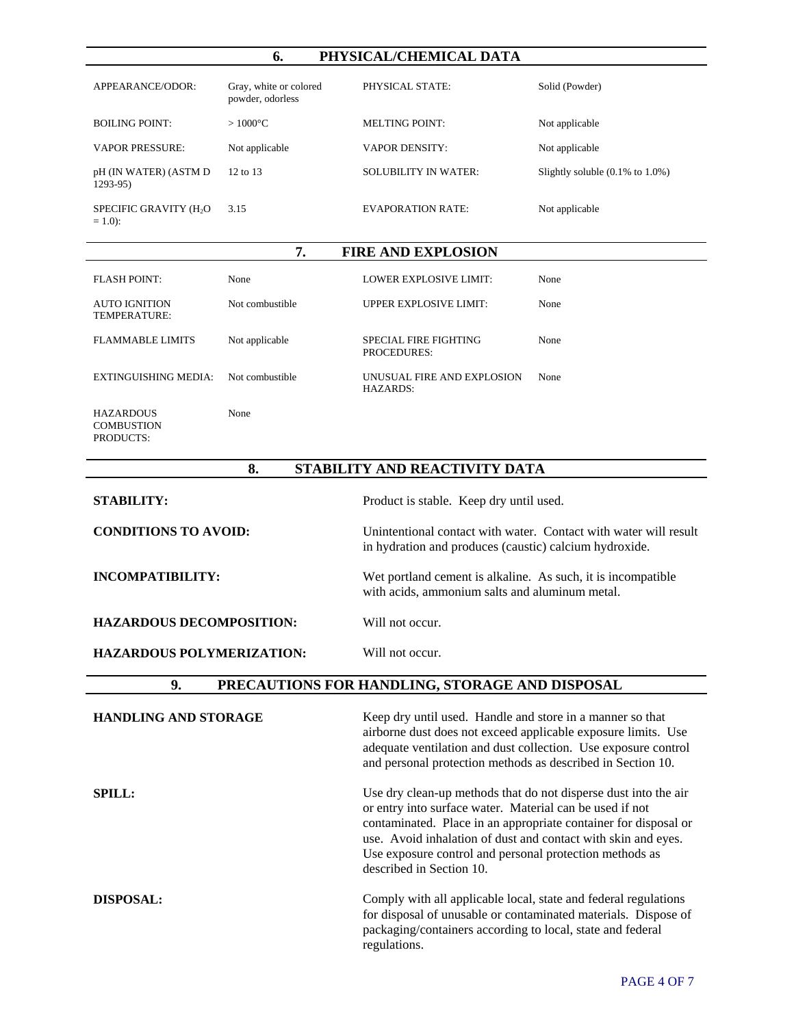# **6. PHYSICAL/CHEMICAL DATA**

| APPEARANCE/ODOR:                                | Gray, white or colored<br>powder, odorless | PHYSICAL STATE:             | Solid (Powder)                               |
|-------------------------------------------------|--------------------------------------------|-----------------------------|----------------------------------------------|
| <b>BOILING POINT:</b>                           | $>1000^{\circ}$ C                          | MELTING POINT:              | Not applicable                               |
| <b>VAPOR PRESSURE:</b>                          | Not applicable                             | <b>VAPOR DENSITY:</b>       | Not applicable                               |
| pH (IN WATER) (ASTM D<br>$1293-95$              | 12 to 13                                   | <b>SOLUBILITY IN WATER:</b> | Slightly soluble $(0.1\% \text{ to } 1.0\%)$ |
| SPECIFIC GRAVITY (H <sub>2</sub> O<br>$= 1.0$ : | 3.15                                       | <b>EVAPORATION RATE:</b>    | Not applicable                               |

#### **7. FIRE AND EXPLOSION**

| FLASH POINT:                  | None            | LOWER EXPLOSIVE LIMIT:                 | None |
|-------------------------------|-----------------|----------------------------------------|------|
| AUTO IGNITION<br>TEMPERATURE: | Not combustible | <b>UPPER EXPLOSIVE LIMIT:</b>          | None |
| <b>FLAMMABLE LIMITS</b>       | Not applicable  | SPECIAL FIRE FIGHTING<br>PROCEDURES:   | None |
| EXTINGUISHING MEDIA:          | Not combustible | UNUSUAL FIRE AND EXPLOSION<br>HAZARDS: | None |
| <b>HAZARDOUS</b>              | None            |                                        |      |

**COMBUSTION** PRODUCTS:

# **8. STABILITY AND REACTIVITY DATA**

| <b>STABILITY:</b>                | Product is stable. Keep dry until used.                                                                                    |
|----------------------------------|----------------------------------------------------------------------------------------------------------------------------|
| <b>CONDITIONS TO AVOID:</b>      | Unintentional contact with water. Contact with water will result<br>in hydration and produces (caustic) calcium hydroxide. |
| INCOMPATIBILITY:                 | Wet portland cement is alkaline. As such, it is incompatible<br>with acids, ammonium salts and aluminum metal.             |
| <b>HAZARDOUS DECOMPOSITION:</b>  | Will not occur.                                                                                                            |
| <b>HAZARDOUS POLYMERIZATION:</b> | Will not occur.                                                                                                            |

## **9. PRECAUTIONS FOR HANDLING, STORAGE AND DISPOSAL**

| <b>HANDLING AND STORAGE</b> | Keep dry until used. Handle and store in a manner so that<br>airborne dust does not exceed applicable exposure limits. Use<br>adequate ventilation and dust collection. Use exposure control<br>and personal protection methods as described in Section 10.                                                                                            |
|-----------------------------|--------------------------------------------------------------------------------------------------------------------------------------------------------------------------------------------------------------------------------------------------------------------------------------------------------------------------------------------------------|
| <b>SPILL:</b>               | Use dry clean-up methods that do not disperse dust into the air<br>or entry into surface water. Material can be used if not<br>contaminated. Place in an appropriate container for disposal or<br>use. Avoid inhalation of dust and contact with skin and eyes.<br>Use exposure control and personal protection methods as<br>described in Section 10. |
| <b>DISPOSAL:</b>            | Comply with all applicable local, state and federal regulations<br>for disposal of unusable or contaminated materials. Dispose of<br>packaging/containers according to local, state and federal<br>regulations.                                                                                                                                        |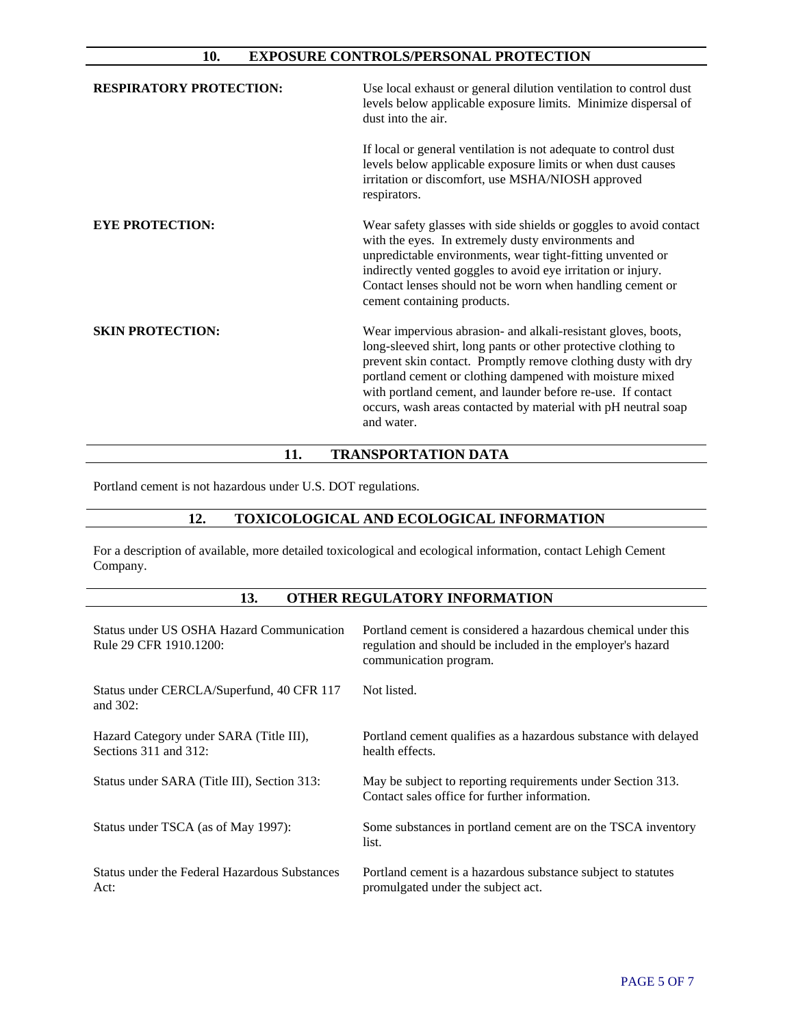### **10. EXPOSURE CONTROLS/PERSONAL PROTECTION**

| <b>RESPIRATORY PROTECTION:</b> | Use local exhaust or general dilution ventilation to control dust<br>levels below applicable exposure limits. Minimize dispersal of<br>dust into the air.                                                                                                                                                                                                                                                  |
|--------------------------------|------------------------------------------------------------------------------------------------------------------------------------------------------------------------------------------------------------------------------------------------------------------------------------------------------------------------------------------------------------------------------------------------------------|
|                                | If local or general ventilation is not adequate to control dust<br>levels below applicable exposure limits or when dust causes<br>irritation or discomfort, use MSHA/NIOSH approved<br>respirators.                                                                                                                                                                                                        |
| <b>EYE PROTECTION:</b>         | Wear safety glasses with side shields or goggles to avoid contact<br>with the eyes. In extremely dusty environments and<br>unpredictable environments, wear tight-fitting unvented or<br>indirectly vented goggles to avoid eye irritation or injury.<br>Contact lenses should not be worn when handling cement or<br>cement containing products.                                                          |
| <b>SKIN PROTECTION:</b>        | Wear impervious abrasion- and alkali-resistant gloves, boots,<br>long-sleeved shirt, long pants or other protective clothing to<br>prevent skin contact. Promptly remove clothing dusty with dry<br>portland cement or clothing dampened with moisture mixed<br>with portland cement, and launder before re-use. If contact<br>occurs, wash areas contacted by material with pH neutral soap<br>and water. |

## **11. TRANSPORTATION DATA**

Portland cement is not hazardous under U.S. DOT regulations.

# **12. TOXICOLOGICAL AND ECOLOGICAL INFORMATION**

For a description of available, more detailed toxicological and ecological information, contact Lehigh Cement Company.

### **13. OTHER REGULATORY INFORMATION**

| Status under US OSHA Hazard Communication<br>Rule 29 CFR 1910.1200:   | Portland cement is considered a hazardous chemical under this<br>regulation and should be included in the employer's hazard<br>communication program. |
|-----------------------------------------------------------------------|-------------------------------------------------------------------------------------------------------------------------------------------------------|
| Status under CERCLA/Superfund, 40 CFR 117<br>and $302$ :              | Not listed.                                                                                                                                           |
| Hazard Category under SARA (Title III),<br>Sections $311$ and $312$ : | Portland cement qualifies as a hazardous substance with delayed<br>health effects.                                                                    |
| Status under SARA (Title III), Section 313:                           | May be subject to reporting requirements under Section 313.<br>Contact sales office for further information.                                          |
| Status under TSCA (as of May 1997):                                   | Some substances in portland cement are on the TSCA inventory<br>list.                                                                                 |
| Status under the Federal Hazardous Substances<br>Act:                 | Portland cement is a hazardous substance subject to statutes<br>promulgated under the subject act.                                                    |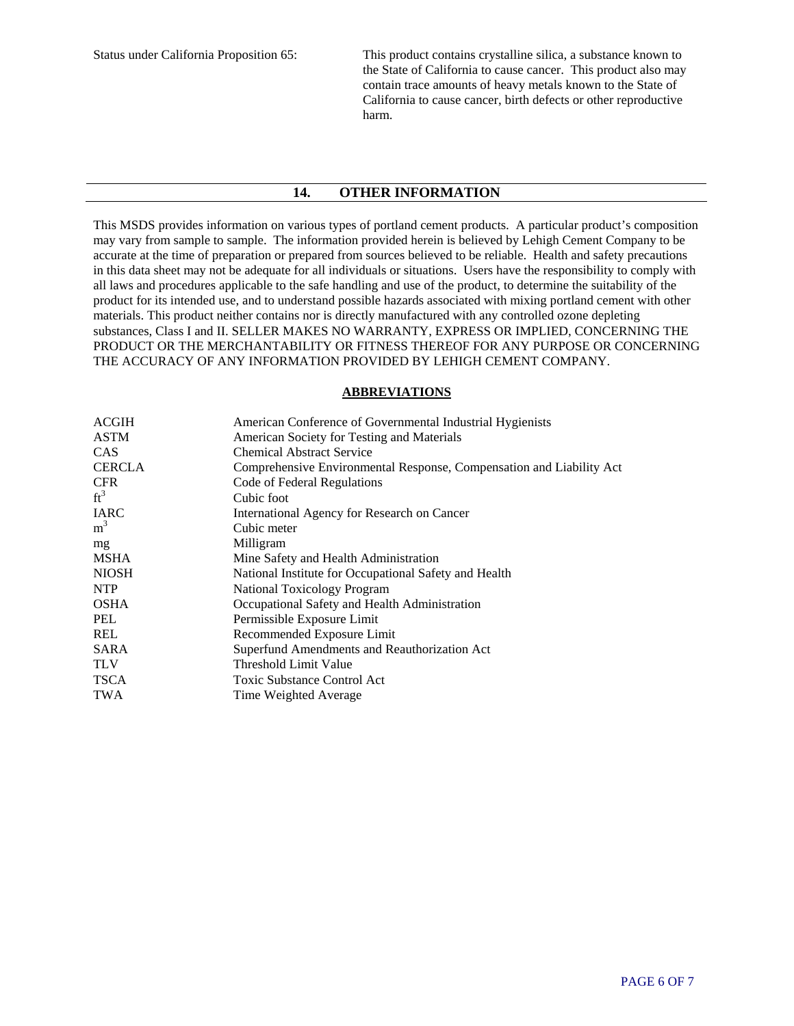Status under California Proposition 65: This product contains crystalline silica, a substance known to the State of California to cause cancer. This product also may contain trace amounts of heavy metals known to the State of California to cause cancer, birth defects or other reproductive harm.

#### **14. OTHER INFORMATION**

This MSDS provides information on various types of portland cement products. A particular product's composition may vary from sample to sample. The information provided herein is believed by Lehigh Cement Company to be accurate at the time of preparation or prepared from sources believed to be reliable. Health and safety precautions in this data sheet may not be adequate for all individuals or situations. Users have the responsibility to comply with all laws and procedures applicable to the safe handling and use of the product, to determine the suitability of the product for its intended use, and to understand possible hazards associated with mixing portland cement with other materials. This product neither contains nor is directly manufactured with any controlled ozone depleting substances, Class I and II. SELLER MAKES NO WARRANTY, EXPRESS OR IMPLIED, CONCERNING THE PRODUCT OR THE MERCHANTABILITY OR FITNESS THEREOF FOR ANY PURPOSE OR CONCERNING THE ACCURACY OF ANY INFORMATION PROVIDED BY LEHIGH CEMENT COMPANY.

#### **ABBREVIATIONS**

| <b>ACGIH</b>   | American Conference of Governmental Industrial Hygienists            |
|----------------|----------------------------------------------------------------------|
| <b>ASTM</b>    | American Society for Testing and Materials                           |
| <b>CAS</b>     | <b>Chemical Abstract Service</b>                                     |
| <b>CERCLA</b>  | Comprehensive Environmental Response, Compensation and Liability Act |
| <b>CFR</b>     | Code of Federal Regulations                                          |
| $ft^3$         | Cubic foot                                                           |
| <b>IARC</b>    | International Agency for Research on Cancer                          |
| m <sup>3</sup> | Cubic meter                                                          |
| mg             | Milligram                                                            |
| <b>MSHA</b>    | Mine Safety and Health Administration                                |
| <b>NIOSH</b>   | National Institute for Occupational Safety and Health                |
| <b>NTP</b>     | National Toxicology Program                                          |
| <b>OSHA</b>    | Occupational Safety and Health Administration                        |
| PEL            | Permissible Exposure Limit                                           |
| REL            | Recommended Exposure Limit                                           |
| <b>SARA</b>    | Superfund Amendments and Reauthorization Act                         |
| <b>TLV</b>     | Threshold Limit Value                                                |
| <b>TSCA</b>    | <b>Toxic Substance Control Act</b>                                   |
| <b>TWA</b>     | Time Weighted Average                                                |
|                |                                                                      |